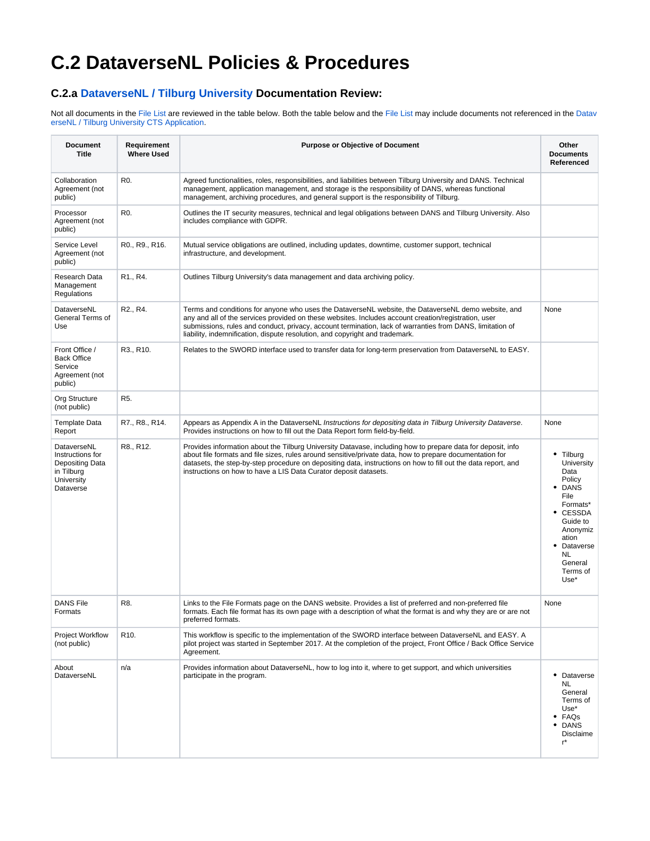## <span id="page-0-0"></span>**C.2 DataverseNL Policies & Procedures**

## **C.2.a [DataverseNL / Tilburg University](https://dataverse.nl/dataverse/tiu) Documentation Review:**

Not all documents in the [File List](#page-1-0) are reviewed in the table below. Both the table below and the [File List](#page-1-0) may include documents not referenced in the [Datav](https://spotdocs.scholarsportal.info/display/DAT/B.+Successful+CTS+Certification+Applications?preview=/229867559/229867578/Tilburg-University-Dataverse.pdf) [erseNL / Tilburg University CTS Application](https://spotdocs.scholarsportal.info/display/DAT/B.+Successful+CTS+Certification+Applications?preview=/229867559/229867578/Tilburg-University-Dataverse.pdf).

| <b>Document</b><br><b>Title</b>                                                                    | Requirement<br><b>Where Used</b>   | <b>Purpose or Objective of Document</b>                                                                                                                                                                                                                                                                                                                                                                      | Other<br><b>Documents</b><br>Referenced                                                                                                                                      |
|----------------------------------------------------------------------------------------------------|------------------------------------|--------------------------------------------------------------------------------------------------------------------------------------------------------------------------------------------------------------------------------------------------------------------------------------------------------------------------------------------------------------------------------------------------------------|------------------------------------------------------------------------------------------------------------------------------------------------------------------------------|
| Collaboration<br>Agreement (not<br>public)                                                         | R0.                                | Agreed functionalities, roles, responsibilities, and liabilities between Tilburg University and DANS. Technical<br>management, application management, and storage is the responsibility of DANS, whereas functional<br>management, archiving procedures, and general support is the responsibility of Tilburg.                                                                                              |                                                                                                                                                                              |
| Processor<br>Agreement (not<br>public)                                                             | R <sub>0</sub> .                   | Outlines the IT security measures, technical and legal obligations between DANS and Tilburg University. Also<br>includes compliance with GDPR.                                                                                                                                                                                                                                                               |                                                                                                                                                                              |
| Service Level<br>Agreement (not<br>public)                                                         | R0., R9., R16.                     | Mutual service obligations are outlined, including updates, downtime, customer support, technical<br>infrastructure, and development.                                                                                                                                                                                                                                                                        |                                                                                                                                                                              |
| Research Data<br>Management<br>Regulations                                                         | R <sub>1</sub> ., R <sub>4</sub> . | Outlines Tilburg University's data management and data archiving policy.                                                                                                                                                                                                                                                                                                                                     |                                                                                                                                                                              |
| DataverseNL<br>General Terms of<br>Use                                                             | R <sub>2</sub> ., R <sub>4</sub> . | Terms and conditions for anyone who uses the DataverseNL website, the DataverseNL demo website, and<br>any and all of the services provided on these websites. Includes account creation/registration, user<br>submissions, rules and conduct, privacy, account termination, lack of warranties from DANS, limitation of<br>liability, indemnification, dispute resolution, and copyright and trademark.     | None                                                                                                                                                                         |
| Front Office /<br><b>Back Office</b><br>Service<br>Agreement (not<br>public)                       | R3., R10.                          | Relates to the SWORD interface used to transfer data for long-term preservation from DataverseNL to EASY.                                                                                                                                                                                                                                                                                                    |                                                                                                                                                                              |
| Org Structure<br>(not public)                                                                      | R5.                                |                                                                                                                                                                                                                                                                                                                                                                                                              |                                                                                                                                                                              |
| <b>Template Data</b><br>Report                                                                     | R7., R8., R14.                     | Appears as Appendix A in the DataverseNL Instructions for depositing data in Tilburg University Dataverse.<br>Provides instructions on how to fill out the Data Report form field-by-field.                                                                                                                                                                                                                  | None                                                                                                                                                                         |
| DataverseNL<br>Instructions for<br><b>Depositing Data</b><br>in Tilburg<br>University<br>Dataverse | R8., R12.                          | Provides information about the Tilburg University Datavase, including how to prepare data for deposit, info<br>about file formats and file sizes, rules around sensitive/private data, how to prepare documentation for<br>datasets, the step-by-step procedure on depositing data, instructions on how to fill out the data report, and<br>instructions on how to have a LIS Data Curator deposit datasets. | • Tilburg<br>University<br>Data<br>Policy<br>• DANS<br>File<br>Formats*<br>• CESSDA<br>Guide to<br>Anonymiz<br>ation<br>Dataverse<br>٠<br>NL.<br>General<br>Terms of<br>Use* |
| <b>DANS File</b><br>Formats                                                                        | R8.                                | Links to the File Formats page on the DANS website. Provides a list of preferred and non-preferred file<br>formats. Each file format has its own page with a description of what the format is and why they are or are not<br>preferred formats.                                                                                                                                                             | None                                                                                                                                                                         |
| <b>Project Workflow</b><br>(not public)                                                            | R <sub>10</sub> .                  | This workflow is specific to the implementation of the SWORD interface between DataverseNL and EASY. A<br>pilot project was started in September 2017. At the completion of the project, Front Office / Back Office Service<br>Agreement.                                                                                                                                                                    |                                                                                                                                                                              |
| About<br>DataverseNL                                                                               | n/a                                | Provides information about DataverseNL, how to log into it, where to get support, and which universities<br>participate in the program.                                                                                                                                                                                                                                                                      | • Dataverse<br>NL.<br>General<br>Terms of<br>Use*<br>$\bullet$ FAQs<br><b>DANS</b><br>٠<br><b>Disclaime</b><br>r*                                                            |